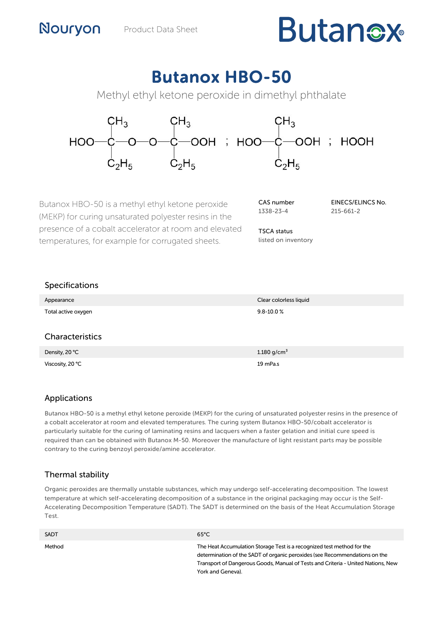# **Butanex**

# Butanox HBO-50

Methyl ethyl ketone peroxide in dimethyl phthalate



Butanox HBO-50 is a methyl ethyl ketone peroxide (MEKP) for curing unsaturated polyester resins in the presence of a cobalt accelerator at room and elevated temperatures, for example for corrugated sheets.

Viscosity, 20 °C 19 mPa.s

| CAS number |  |
|------------|--|
| 1338-23-4  |  |

TSCA status listed on inventory EINECS/ELINCS No. 215-661-2

Specifications

| Appearance          | Clear colorless liquid  |
|---------------------|-------------------------|
| Total active oxygen | $9.8 - 10.0 %$          |
|                     |                         |
| Characteristics     |                         |
| Density, 20 °C      | 1.180 g/cm <sup>3</sup> |

# Applications

Butanox HBO-50 is a methyl ethyl ketone peroxide (MEKP) for the curing of unsaturated polyester resins in the presence of a cobalt accelerator at room and elevated temperatures. The curing system Butanox HBO-50/cobalt accelerator is particularly suitable for the curing of laminating resins and lacquers when a faster gelation and initial cure speed is required than can be obtained with Butanox M-50. Moreover the manufacture of light resistant parts may be possible contrary to the curing benzoyl peroxide/amine accelerator.

# Thermal stability

Organic peroxides are thermally unstable substances, which may undergo self-accelerating decomposition. The lowest temperature at which self-accelerating decomposition of a substance in the original packaging may occur is the Self-Accelerating Decomposition Temperature (SADT). The SADT is determined on the basis of the Heat Accumulation Storage Test.

| <b>SADT</b> | $65^{\circ}$ C                                                                                                                                                                                                                                                |
|-------------|---------------------------------------------------------------------------------------------------------------------------------------------------------------------------------------------------------------------------------------------------------------|
| Method      | The Heat Accumulation Storage Test is a recognized test method for the<br>determination of the SADT of organic peroxides (see Recommendations on the<br>Transport of Dangerous Goods, Manual of Tests and Criteria - United Nations, New<br>York and Geneva). |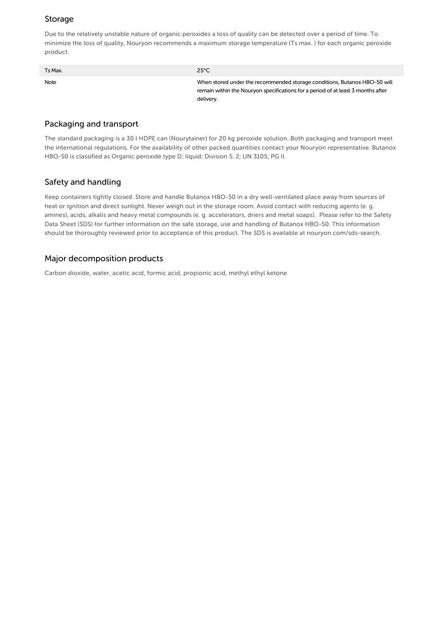### Storage

Due to the relatively unstable nature of organic peroxides a loss of quality can be detected over a period of time. To minimize the loss of quality, Nouryon recommends a maximum storage temperature (Ts max. ) for each organic peroxide product.

| Ts Max. | $25^{\circ}$ C                                                                                                                                                             |
|---------|----------------------------------------------------------------------------------------------------------------------------------------------------------------------------|
| Note    | When stored under the recommended storage conditions, Butanox HBO-50 will<br>remain within the Nouryon specifications for a period of at least 3 months after<br>delivery. |

#### Packaging and transport

The standard packaging is a 30 l HDPE can (Nourytainer) for 20 kg peroxide solution. Both packaging and transport meet the international regulations. For the availability of other packed quantities contact your Nouryon representative. Butanox HBO-50 is classified as Organic peroxide type D; liquid; Division 5. 2; UN 3105; PG II.

#### Safety and handling

Keep containers tightly closed. Store and handle Butanox HBO-50 in a dry well-ventilated place away from sources of heat or ignition and direct sunlight. Never weigh out in the storage room. Avoid contact with reducing agents (e. g. amines), acids, alkalis and heavy metal compounds (e. g. accelerators, driers and metal soaps). Please refer to the Safety Data Sheet (SDS) for further information on the safe storage, use and handling of Butanox HBO-50. This information should be thoroughly reviewed prior to acceptance of this product. The SDS is available at nouryon.com/sds-search.

#### Major decomposition products

Carbon dioxide, water, acetic acid, formic acid, propionic acid, methyl ethyl ketone